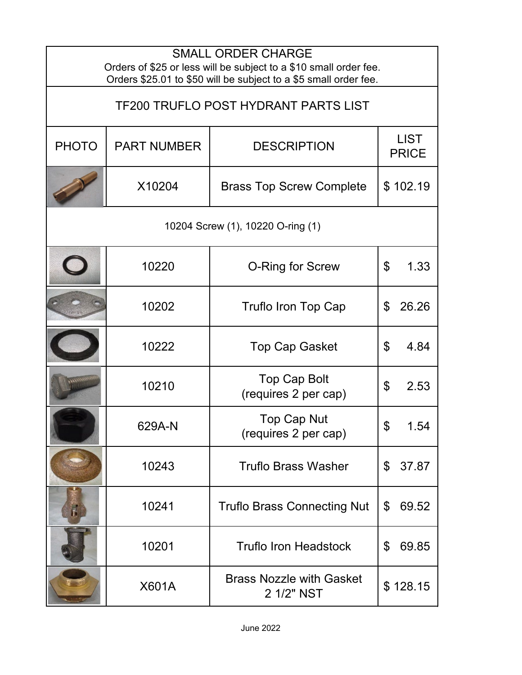| <b>SMALL ORDER CHARGE</b><br>Orders of \$25 or less will be subject to a \$10 small order fee.<br>Orders \$25.01 to \$50 will be subject to a \$5 small order fee. |                    |                                               |                             |
|--------------------------------------------------------------------------------------------------------------------------------------------------------------------|--------------------|-----------------------------------------------|-----------------------------|
| <b>TF200 TRUFLO POST HYDRANT PARTS LIST</b>                                                                                                                        |                    |                                               |                             |
| <b>PHOTO</b>                                                                                                                                                       | <b>PART NUMBER</b> | <b>DESCRIPTION</b>                            | <b>LIST</b><br><b>PRICE</b> |
|                                                                                                                                                                    | X10204             | <b>Brass Top Screw Complete</b>               | \$102.19                    |
| 10204 Screw (1), 10220 O-ring (1)                                                                                                                                  |                    |                                               |                             |
|                                                                                                                                                                    | 10220              | <b>O-Ring for Screw</b>                       | \$<br>1.33                  |
|                                                                                                                                                                    | 10202              | <b>Truflo Iron Top Cap</b>                    | 26.26<br>\$                 |
|                                                                                                                                                                    | 10222              | <b>Top Cap Gasket</b>                         | \$<br>4.84                  |
|                                                                                                                                                                    | 10210              | <b>Top Cap Bolt</b><br>(requires 2 per cap)   | \$<br>2.53                  |
|                                                                                                                                                                    | 629A-N             | Top Cap Nut<br>(requires 2 per cap)           | \$<br>1.54                  |
|                                                                                                                                                                    | 10243              | <b>Truflo Brass Washer</b>                    | \$<br>37.87                 |
| $\mathbf{r}$                                                                                                                                                       | 10241              | <b>Truflo Brass Connecting Nut</b>            | 69.52<br>\$                 |
|                                                                                                                                                                    | 10201              | <b>Truflo Iron Headstock</b>                  | 69.85<br>\$                 |
|                                                                                                                                                                    | X601A              | <b>Brass Nozzle with Gasket</b><br>2 1/2" NST | \$128.15                    |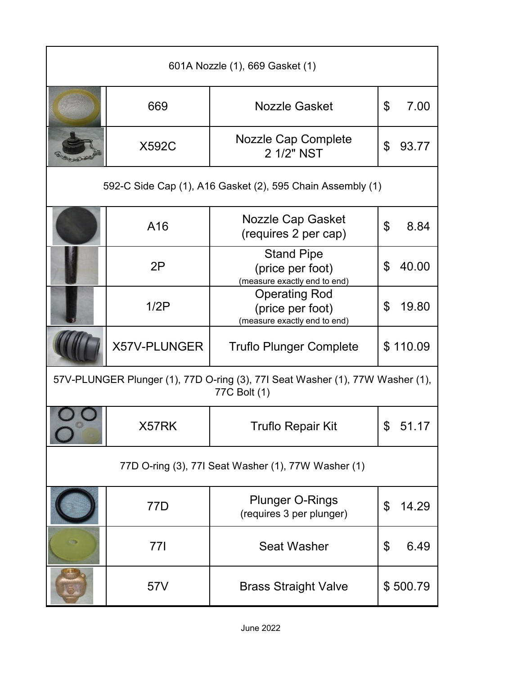| 601A Nozzle (1), 669 Gasket (1)                                                               |              |                                                                          |                        |
|-----------------------------------------------------------------------------------------------|--------------|--------------------------------------------------------------------------|------------------------|
|                                                                                               | 669          | <b>Nozzle Gasket</b>                                                     | $\mathfrak{L}$<br>7.00 |
|                                                                                               | <b>X592C</b> | Nozzle Cap Complete<br>2 1/2" NST                                        | \$<br>93.77            |
| 592-C Side Cap (1), A16 Gasket (2), 595 Chain Assembly (1)                                    |              |                                                                          |                        |
|                                                                                               | A16          | Nozzle Cap Gasket<br>(requires 2 per cap)                                | $\mathfrak{L}$<br>8.84 |
|                                                                                               | 2P           | <b>Stand Pipe</b><br>(price per foot)<br>(measure exactly end to end)    | \$<br>40.00            |
|                                                                                               | 1/2P         | <b>Operating Rod</b><br>(price per foot)<br>(measure exactly end to end) | \$<br>19.80            |
|                                                                                               | X57V-PLUNGER | <b>Truflo Plunger Complete</b>                                           | \$110.09               |
| 57V-PLUNGER Plunger (1), 77D O-ring (3), 77I Seat Washer (1), 77W Washer (1),<br>77C Bolt (1) |              |                                                                          |                        |
|                                                                                               | X57RK        | <b>Truflo Repair Kit</b>                                                 | \$<br>51.17            |
| 77D O-ring (3), 77I Seat Washer (1), 77W Washer (1)                                           |              |                                                                          |                        |
|                                                                                               | 77D          | <b>Plunger O-Rings</b><br>(requires 3 per plunger)                       | 14.29<br>\$            |
|                                                                                               | 77I          | <b>Seat Washer</b>                                                       | 6.49<br>\$             |
|                                                                                               | 57V          | <b>Brass Straight Valve</b>                                              | \$500.79               |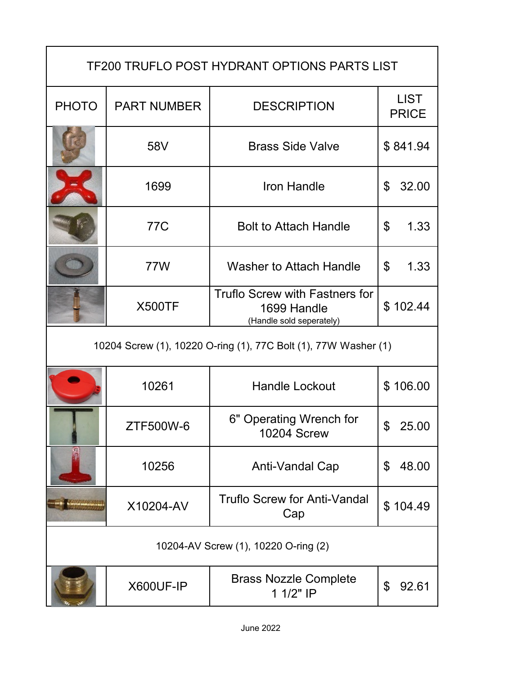| <b>TF200 TRUFLO POST HYDRANT OPTIONS PARTS LIST</b>             |                    |                                                                           |                             |
|-----------------------------------------------------------------|--------------------|---------------------------------------------------------------------------|-----------------------------|
| <b>PHOTO</b>                                                    | <b>PART NUMBER</b> | <b>DESCRIPTION</b>                                                        | <b>LIST</b><br><b>PRICE</b> |
|                                                                 | 58V                | <b>Brass Side Valve</b>                                                   | \$841.94                    |
|                                                                 | 1699               | Iron Handle                                                               | 32.00<br>\$                 |
|                                                                 | 77C                | <b>Bolt to Attach Handle</b>                                              | \$<br>1.33                  |
|                                                                 | 77W                | <b>Washer to Attach Handle</b>                                            | \$<br>1.33                  |
|                                                                 | <b>X500TF</b>      | Truflo Screw with Fastners for<br>1699 Handle<br>(Handle sold seperately) | \$102.44                    |
| 10204 Screw (1), 10220 O-ring (1), 77C Bolt (1), 77W Washer (1) |                    |                                                                           |                             |
|                                                                 | 10261              | <b>Handle Lockout</b>                                                     | \$106.00                    |
|                                                                 | ZTF500W-6          | 6" Operating Wrench for<br><b>10204 Screw</b>                             | \$<br>25.00                 |
|                                                                 | 10256              | Anti-Vandal Cap                                                           | 48.00<br>\$                 |
|                                                                 | X10204-AV          | <b>Truflo Screw for Anti-Vandal</b><br>Cap                                | \$104.49                    |
| 10204-AV Screw (1), 10220 O-ring (2)                            |                    |                                                                           |                             |
|                                                                 | X600UF-IP          | <b>Brass Nozzle Complete</b><br>1 1/2" IP                                 | \$<br>92.61                 |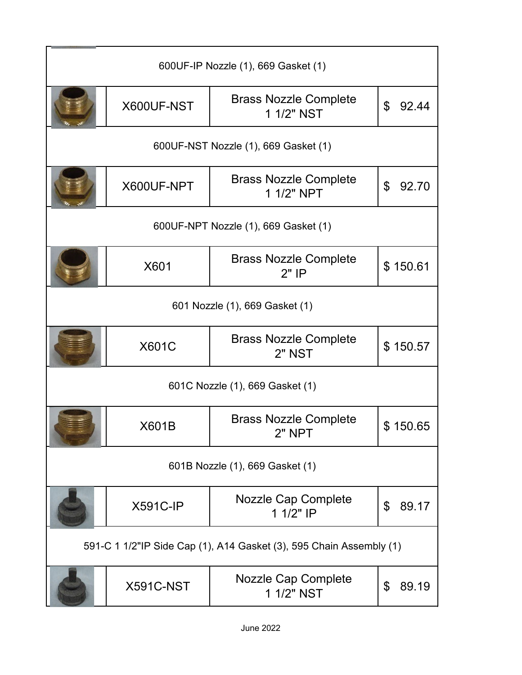| 600UF-IP Nozzle (1), 669 Gasket (1)                                 |                 |                                            |                         |
|---------------------------------------------------------------------|-----------------|--------------------------------------------|-------------------------|
|                                                                     | X600UF-NST      | <b>Brass Nozzle Complete</b><br>1 1/2" NST | \$<br>92.44             |
| 600UF-NST Nozzle (1), 669 Gasket (1)                                |                 |                                            |                         |
|                                                                     | X600UF-NPT      | <b>Brass Nozzle Complete</b><br>1 1/2" NPT | $\mathfrak{L}$<br>92.70 |
| 600UF-NPT Nozzle (1), 669 Gasket (1)                                |                 |                                            |                         |
|                                                                     | X601            | <b>Brass Nozzle Complete</b><br>$2"$ IP    | \$150.61                |
| 601 Nozzle (1), 669 Gasket (1)                                      |                 |                                            |                         |
|                                                                     | <b>X601C</b>    | <b>Brass Nozzle Complete</b><br>2" NST     | \$150.57                |
| 601C Nozzle (1), 669 Gasket (1)                                     |                 |                                            |                         |
|                                                                     | X601B           | <b>Brass Nozzle Complete</b><br>2" NPT     | \$150.65                |
| 601B Nozzle (1), 669 Gasket (1)                                     |                 |                                            |                         |
|                                                                     | <b>X591C-IP</b> | Nozzle Cap Complete<br>1 1/2" IP           | \$<br>89.17             |
| 591-C 1 1/2"IP Side Cap (1), A14 Gasket (3), 595 Chain Assembly (1) |                 |                                            |                         |
|                                                                     | X591C-NST       | <b>Nozzle Cap Complete</b><br>1 1/2" NST   | \$<br>89.19             |